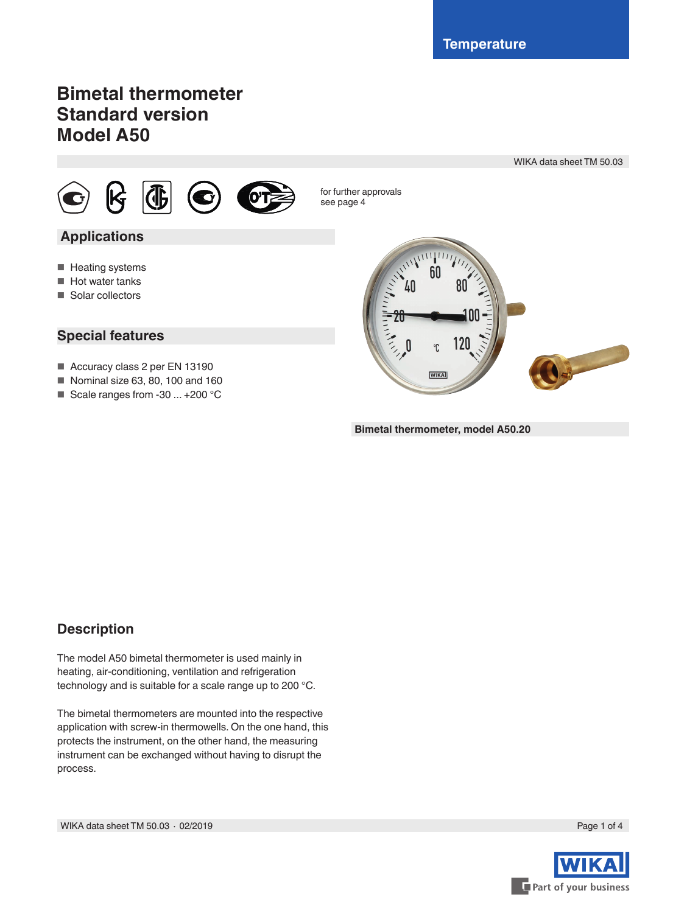# **Bimetal thermometer Standard version Model A50**

WIKA data sheet TM 50.03



for further approvals see page 4

# **Applications**

- Heating systems
- Hot water tanks
- Solar collectors

# **Special features**

- Accuracy class 2 per EN 13190
- Nominal size 63, 80, 100 and 160
- Scale ranges from -30 ... +200 °C

**Bimetal thermometer, model A50.20**

**WIK** 

60

4U

# **Description**

The model A50 bimetal thermometer is used mainly in heating, air-conditioning, ventilation and refrigeration technology and is suitable for a scale range up to 200 °C.

The bimetal thermometers are mounted into the respective application with screw-in thermowells. On the one hand, this protects the instrument, on the other hand, the measuring instrument can be exchanged without having to disrupt the process.

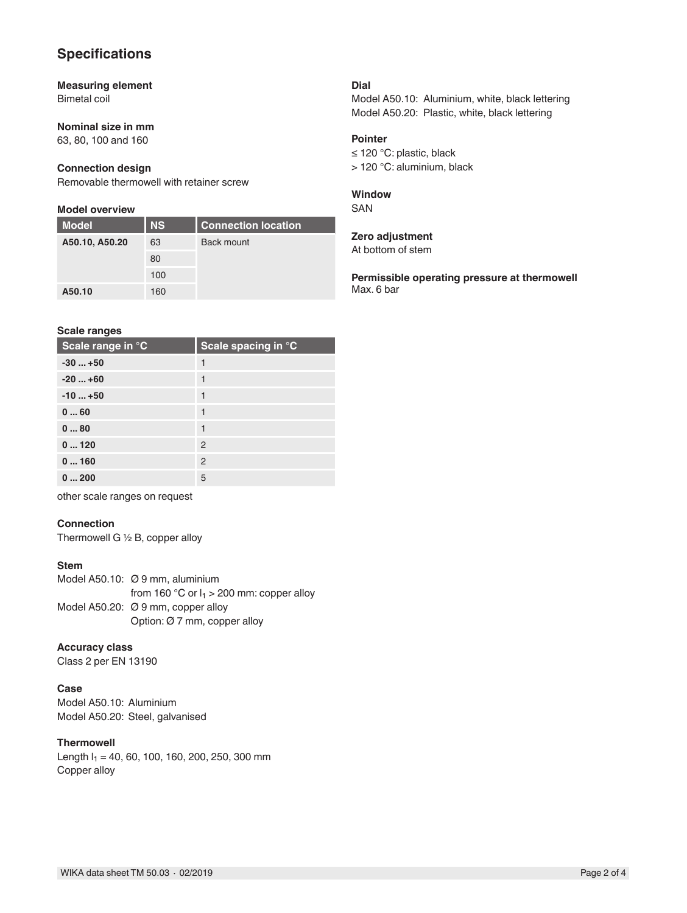# **Specifications**

**Measuring element** Bimetal coil

### **Nominal size in mm** 63, 80, 100 and 160

### **Connection design**

Removable thermowell with retainer screw

#### **Model overview**

| <b>Model</b>   | <b>NS</b> | <b>Connection location</b> |
|----------------|-----------|----------------------------|
| A50.10, A50.20 | 63        | Back mount                 |
|                | 80        |                            |
|                | 100       |                            |
| A50.10         | 160       |                            |

#### **Scale ranges**

| Scale range in °C | Scale spacing in °C |
|-------------------|---------------------|
| $-30+50$          | $\mathbf{1}$        |
| $-20+60$          | 1                   |
| $-10+50$          | $\mathbf{1}$        |
| 060               | 1                   |
| 080               | 1                   |
| 0120              | 2                   |
| 0160              | 2                   |
| 0200              | 5                   |

other scale ranges on request

#### **Connection**

Thermowell G ½ B, copper alloy

## **Stem**

Model A50.10: Ø 9 mm, aluminium from 160 °C or  $I_1 > 200$  mm: copper alloy Model A50.20: Ø 9 mm, copper alloy Option: Ø 7 mm, copper alloy

## **Accuracy class**

Class 2 per EN 13190

## **Case**

Model A50.10: Aluminium Model A50.20: Steel, galvanised

# **Thermowell**

Length  $I_1 = 40, 60, 100, 160, 200, 250, 300$  mm Copper alloy

### **Dial**

Model A50.10: Aluminium, white, black lettering Model A50.20: Plastic, white, black lettering

### **Pointer**

≤ 120 °C: plastic, black > 120 °C: aluminium, black

### **Window**

SAN

#### **Zero adjustment** At bottom of stem

**Permissible operating pressure at thermowell** Max. 6 bar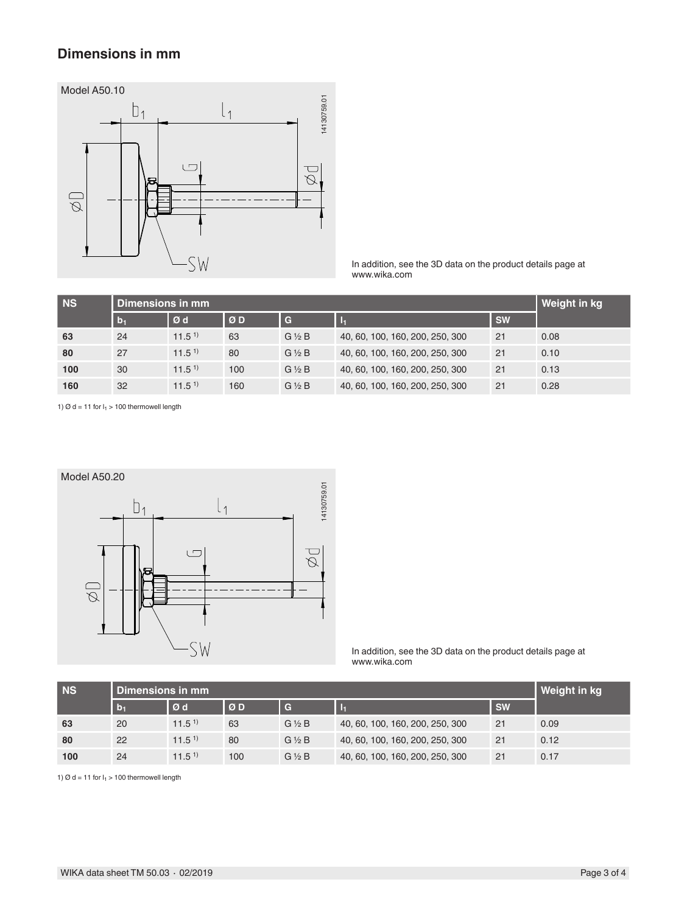# **Dimensions in mm**

Model A50.10 14130759.01 14130759.01  $\lfloor \frac{1}{1} \rfloor$  $b_1$  $\cup$  $\beta$  $\otimes \Box$ ·SW

In addition, see the 3D data on the product details page at www.wika.com

| <b>NS</b> | Dimensions in mm |                   |     |                 |                                 | Weight in kg |      |
|-----------|------------------|-------------------|-----|-----------------|---------------------------------|--------------|------|
|           | b <sub>1</sub>   | Ød                | ØD  | G               |                                 | <b>SW</b>    |      |
| 63        | 24               | 11.5 <sup>1</sup> | 63  | $G\frac{1}{2}B$ | 40, 60, 100, 160, 200, 250, 300 | 21           | 0.08 |
| 80        | 27               | 11.5 <sup>1</sup> | 80  | $G\frac{1}{2}B$ | 40, 60, 100, 160, 200, 250, 300 | 21           | 0.10 |
| 100       | 30               | $11.5^{1}$        | 100 | $G \nless B$    | 40, 60, 100, 160, 200, 250, 300 | 21           | 0.13 |
| 160       | 32               | $11.5^{1}$        | 160 | $G\frac{1}{2}B$ | 40, 60, 100, 160, 200, 250, 300 | 21           | 0.28 |

1)  $\varnothing$  d = 11 for  $I_1$  > 100 thermowell length



In addition, see the 3D data on the product details page at www.wika.com

| <b>NS</b> | Dimensions in mm |                   |                  |                 |                                 |           | Weight in kg |
|-----------|------------------|-------------------|------------------|-----------------|---------------------------------|-----------|--------------|
|           | $b_1$            | Ød                | $\overline{O}$ D | G               |                                 | <b>SW</b> |              |
| 63        | 20               | 11.5 <sup>1</sup> | 63               | $G\frac{1}{2}B$ | 40, 60, 100, 160, 200, 250, 300 | 21        | 0.09         |
| 80        | 22               | $11.5^{1}$        | 80               | $G\frac{1}{2}B$ | 40, 60, 100, 160, 200, 250, 300 | 21        | 0.12         |
| 100       | 24               | $11.5^{1}$        | 100              | $G \nless B$    | 40, 60, 100, 160, 200, 250, 300 | 21        | 0.17         |

1) Ø d = 11 for  $I_1 > 100$  thermowell length